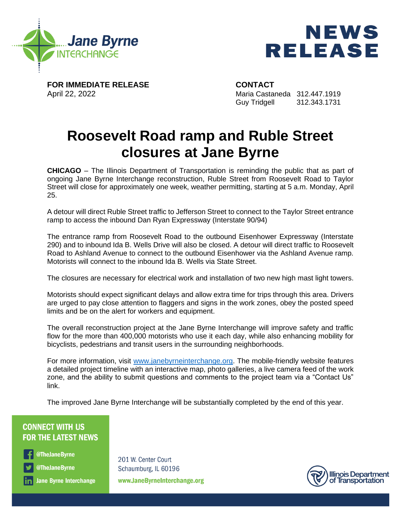



**FOR IMMEDIATE RELEASE CONTACT**

April 22, 2022 Maria Castaneda 312.447.1919 Guy Tridgell 312.343.1731

## **Roosevelt Road ramp and Ruble Street closures at Jane Byrne**

**CHICAGO** – The Illinois Department of Transportation is reminding the public that as part of ongoing Jane Byrne Interchange reconstruction, Ruble Street from Roosevelt Road to Taylor Street will close for approximately one week, weather permitting, starting at 5 a.m. Monday, April 25.

A detour will direct Ruble Street traffic to Jefferson Street to connect to the Taylor Street entrance ramp to access the inbound Dan Ryan Expressway (Interstate 90/94)

The entrance ramp from Roosevelt Road to the outbound Eisenhower Expressway (Interstate 290) and to inbound Ida B. Wells Drive will also be closed. A detour will direct traffic to Roosevelt Road to Ashland Avenue to connect to the outbound Eisenhower via the Ashland Avenue ramp. Motorists will connect to the inbound Ida B. Wells via State Street.

The closures are necessary for electrical work and installation of two new high mast light towers.

Motorists should expect significant delays and allow extra time for trips through this area. Drivers are urged to pay close attention to flaggers and signs in the work zones, obey the posted speed limits and be on the alert for workers and equipment.

The overall reconstruction project at the Jane Byrne Interchange will improve safety and traffic flow for the more than 400,000 motorists who use it each day, while also enhancing mobility for bicyclists, pedestrians and transit users in the surrounding neighborhoods.

For more information, visit [www.janebyrneinterchange.org.](https://www.janebyrneinterchange.org/) The mobile-friendly website features a detailed project timeline with an interactive map, photo galleries, a live camera feed of the work zone, and the ability to submit questions and comments to the project team via a "Contact Us" link.

The improved Jane Byrne Interchange will be substantially completed by the end of this year.

## **CONNECT WITH US FOR THE LATEST NEWS**

@TheJaneByrne

@TheJaneByrne

in Jane Byrne Interchange

201 W. Center Court Schaumburg, IL 60196 www.JaneByrneInterchange.org